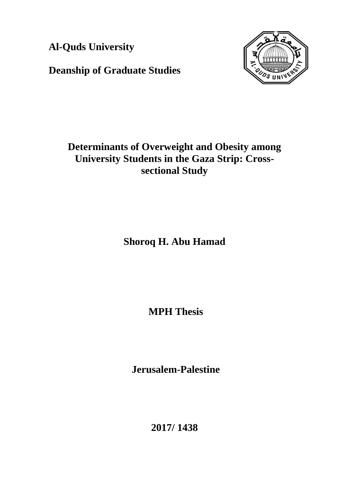**Al-Quds University**

**Deanship of Graduate Studies** 



# **Determinants of Overweight and Obesity among University Students in the Gaza Strip: Crosssectional Study**

**Shoroq H. Abu Hamad**

**MPH Thesis**

**Jerusalem-Palestine**

**2017/ 1438**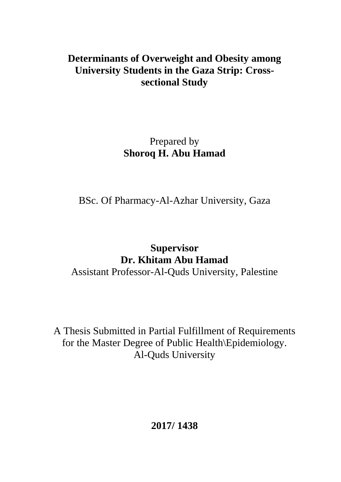# **Determinants of Overweight and Obesity among University Students in the Gaza Strip: Crosssectional Study**

# Prepared by **Shoroq H. Abu Hamad**

BSc. Of Pharmacy-Al-Azhar University, Gaza

# **Supervisor Dr. Khitam Abu Hamad**

Assistant Professor-Al-Quds University, Palestine

A Thesis Submitted in Partial Fulfillment of Requirements for the Master Degree of Public Health\Epidemiology. Al-Quds University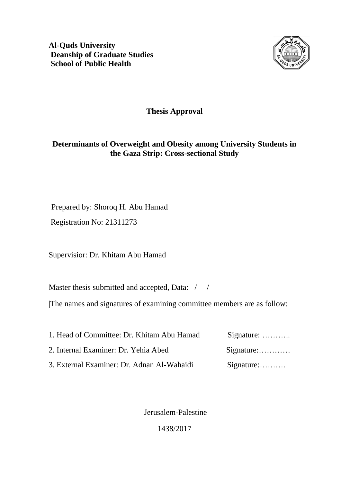**Al-Quds University Deanship of Graduate Studies School of Public Health**



### **Thesis Approval**

### **Determinants of Overweight and Obesity among University Students in the Gaza Strip: Cross-sectional Study**

Prepared by: Shoroq H. Abu Hamad

Registration No: 21311273

Supervisior: Dr. Khitam Abu Hamad

Master thesis submitted and accepted, Data: / /

|The names and signatures of examining committee members are as follow:

| 1. Head of Committee: Dr. Khitam Abu Hamad | Signature: $\dots\dots\dots$ |
|--------------------------------------------|------------------------------|
| 2. Internal Examiner: Dr. Yehia Abed       |                              |
| 3. External Examiner: Dr. Adnan Al-Wahaidi | $Signature:$                 |

Jerusalem-Palestine

1438/2017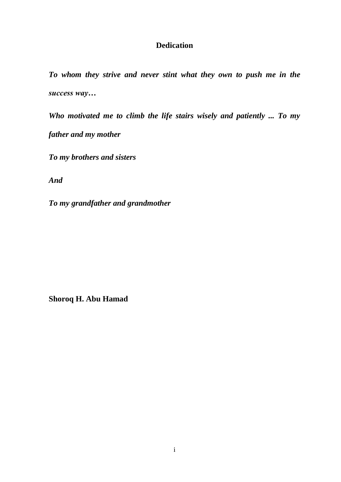### **Dedication**

*To whom they strive and never stint what they own to push me in the success way…*

*Who motivated me to climb the life stairs wisely and patiently ... To my father and my mother*

*To my brothers and sisters*

*And*

*To my grandfather and grandmother* 

**Shoroq H. Abu Hamad**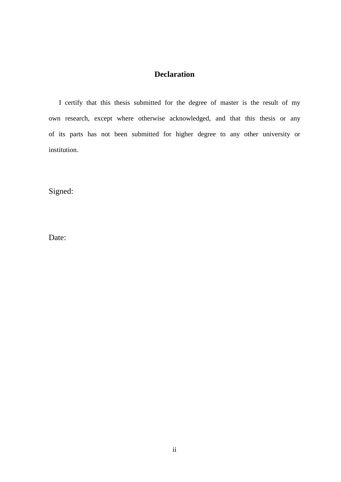### **Declaration**

 I certify that this thesis submitted for the degree of master is the result of my own research, except where otherwise acknowledged, and that this thesis or any of its parts has not been submitted for higher degree to any other university or institution.

Signed:

Date: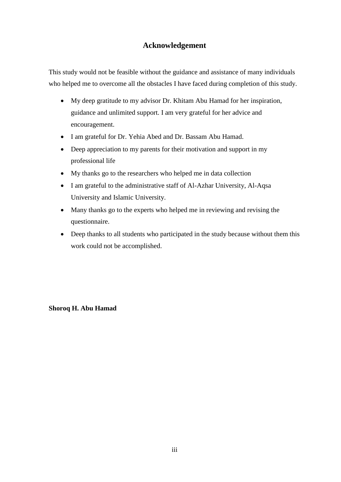### **Acknowledgement**

This study would not be feasible without the guidance and assistance of many individuals who helped me to overcome all the obstacles I have faced during completion of this study.

- My deep gratitude to my advisor Dr. Khitam Abu Hamad for her inspiration, guidance and unlimited support. I am very grateful for her advice and encouragement.
- I am grateful for Dr. Yehia Abed and Dr. Bassam Abu Hamad.
- Deep appreciation to my parents for their motivation and support in my professional life
- My thanks go to the researchers who helped me in data collection
- I am grateful to the administrative staff of Al-Azhar University, Al-Aqsa University and Islamic University.
- Many thanks go to the experts who helped me in reviewing and revising the questionnaire.
- Deep thanks to all students who participated in the study because without them this work could not be accomplished.

**Shoroq H. Abu Hamad**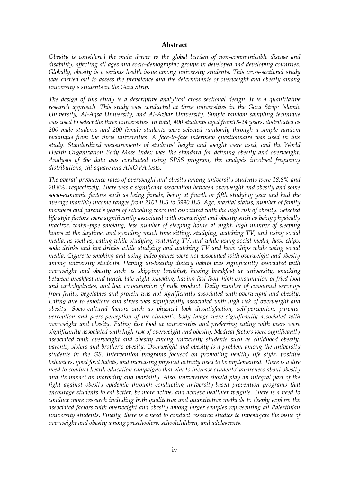#### **Abstract**

*Obesity is considered the main driver to the global burden of non-communicable disease and disability, affecting all ages and socio-demographic groups in developed and developing countries. Globally, obesity is a serious health issue among university students. This cross-sectional study was carried out to assess the prevalence and the determinants of overweight and obesity among university's students in the Gaza Strip.* 

*The design of this study is a descriptive analytical cross sectional design. It is a quantitative research approach. This study was conducted at three universities in the Gaza Strip: Islamic University, Al-Aqsa University, and Al-Azhar University. Simple random sampling technique was used to select the three universities. In total, 400 students aged from18-24 years, distributed as 200 male students and 200 female students were selected randomly through a simple random technique from the three universities. A face-to-face interview questionnaire was used in this study. Standardized measurements of students' height and weight were used, and the World Health Organization Body Mass Index was the standard for defining obesity and overweight. Analysis of the data was conducted using SPSS program, the analysis involved frequency distributions, chi-square and ANOVA tests.* 

*The overall prevalence rates of overweight and obesity among university students were 18.8% and 20.8%, respectively. There was a significant association between overweight and obesity and some socio-economic factors such as being female, being at fourth or fifth studying year and had the average monthly income ranges from 2101 ILS to 3990 ILS. Age, marital status, number of family members and parent's years of schooling were not associated with the high risk of obesity. Selected life style factors were significantly associated with overweight and obesity such as being physically inactive, water-pipe smoking, less number of sleeping hours at night, high number of sleeping hours at the daytime, and spending much time sitting, studying, watching TV, and using social media, as well as, eating while studying, watching TV, and while using social media, have chips, soda drinks and hot drinks while studying and watching TV and have chips while using social media. Cigarette smoking and using video games were not associated with overweight and obesity among university students. Having un-healthy dietary habits was significantly associated with overweight and obesity such as skipping breakfast, having breakfast at university, snacking between breakfast and lunch, late-night snacking, having fast food, high consumption of fried food and carbohydrates, and low consumption of milk product. Daily number of consumed servings from fruits, vegetables and protein was not significantly associated with overweight and obesity. Eating due to emotions and stress was significantly associated with high risk of overweight and obesity. Socio-cultural factors such as physical look dissatisfaction, self-perception, parentsperception and peers-perception of the student's body image were significantly associated with overweight and obesity. Eating fast food at universities and preferring eating with peers were significantly associated with high risk of overweight and obesity. Medical factors were significantly associated with overweight and obesity among university students such as childhood obesity, parents, sisters and brother's obesity. Overweight and obesity is a problem among the university students in the GS. Intervention programs focused on promoting healthy life style, positive behaviors, good food habits, and increasing physical activity need to be implemented. There is a dire need to conduct health education campaigns that aim to increase students' awareness about obesity and its impact on morbidity and mortality. Also, universities should play an integral part of the fight against obesity epidemic through conducting university-based prevention programs that encourage students to eat better, be more active, and achieve healthier weights. There is a need to conduct more research including both qualitative and quantitative methods to deeply explore the associated factors with overweight and obesity among larger samples representing all Palestinian university students. Finally, there is a need to conduct research studies to investigate the issue of overweight and obesity among preschoolers, schoolchildren, and adolescents.*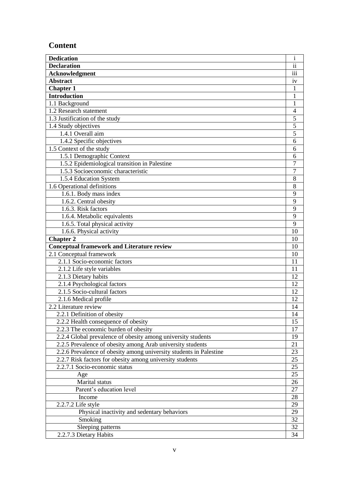### **Content**

| <b>Dedication</b>                                                  | $\rm i$                  |
|--------------------------------------------------------------------|--------------------------|
| <b>Declaration</b>                                                 | $\overline{\textbf{ii}}$ |
| <b>Acknowledgment</b>                                              | $\overline{iii}$         |
| <b>Abstract</b>                                                    | iv                       |
| <b>Chapter 1</b>                                                   | 1                        |
| <b>Introduction</b>                                                | $\mathbf{1}$             |
| 1.1 Background                                                     | $\mathbf{1}$             |
| 1.2 Research statement                                             | $\overline{4}$           |
| 1.3 Justification of the study                                     | 5                        |
| 1.4 Study objectives                                               | 5                        |
| 1.4.1 Overall aim                                                  | $\overline{5}$           |
| 1.4.2 Specific objectives                                          | 6                        |
| $1.5$ Context of the study                                         | 6                        |
| 1.5.1 Demographic Context                                          | 6                        |
| 1.5.2 Epidemiological transition in Palestine                      | $\overline{7}$           |
| 1.5.3 Socioeconomic characteristic                                 | $\overline{7}$           |
| 1.5.4 Education System                                             | 8                        |
| 1.6 Operational definitions                                        | 8                        |
| 1.6.1. Body mass index                                             | 9                        |
| 1.6.2. Central obesity                                             | 9                        |
| 1.6.3. Risk factors                                                | $\overline{9}$           |
| 1.6.4. Metabolic equivalents                                       | 9                        |
| 1.6.5. Total physical activity                                     | $\overline{9}$           |
| 1.6.6. Physical activity                                           | 10                       |
| <b>Chapter 2</b>                                                   | 10                       |
| <b>Conceptual framework and Literature review</b>                  | 10                       |
| 2.1 Conceptual framework                                           | 10                       |
| 2.1.1 Socio-economic factors                                       | 11                       |
| 2.1.2 Life style variables                                         | 11                       |
| 2.1.3 Dietary habits                                               | 12                       |
| 2.1.4 Psychological factors                                        | 12                       |
| 2.1.5 Socio-cultural factors                                       | 12                       |
| 2.1.6 Medical profile                                              | 12                       |
| 2.2 Literature review                                              | 14                       |
| 2.2.1 Definition of obesity                                        | 14                       |
| 2.2.2 Health consequence of obesity                                | 15                       |
| 2.2.3 The economic burden of obesity                               | 17                       |
| 2.2.4 Global prevalence of obesity among university students       | 19                       |
| 2.2.5 Prevalence of obesity among Arab university students         | 21                       |
| 2.2.6 Prevalence of obesity among university students in Palestine | 23                       |
| 2.2.7 Risk factors for obesity among university students           | 25                       |
| 2.2.7.1 Socio-economic status                                      | 25                       |
| Age                                                                | 25                       |
| Marital status                                                     | 26                       |
| Parent's education level                                           | 27                       |
| Income                                                             | 28                       |
| 2.2.7.2 Life style                                                 | 29                       |
| Physical inactivity and sedentary behaviors                        | 29                       |
| Smoking                                                            | 32                       |
| Sleeping patterns                                                  | 32                       |
| 2.2.7.3 Dietary Habits                                             | 34                       |
|                                                                    |                          |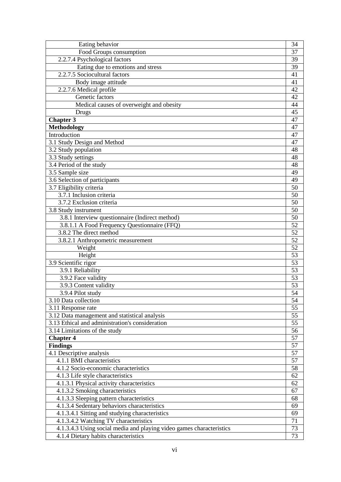| Eating behavior                                                      | 34              |
|----------------------------------------------------------------------|-----------------|
| Food Groups consumption                                              | 37              |
| 2.2.7.4 Psychological factors                                        | 39              |
| Eating due to emotions and stress                                    | 39              |
| 2.2.7.5 Sociocultural factors                                        | 41              |
| Body image attitude                                                  | 41              |
| 2.2.7.6 Medical profile                                              | 42              |
| Genetic factors                                                      | 42              |
| Medical causes of overweight and obesity                             | 44              |
| Drugs                                                                | 45              |
| <b>Chapter 3</b>                                                     | $\overline{47}$ |
| <b>Methodology</b>                                                   | 47              |
| Introduction                                                         | 47              |
| 3.1 Study Design and Method                                          | 47              |
| 3.2 Study population                                                 | 48              |
| 3.3 Study settings                                                   | 48              |
| 3.4 Period of the study                                              | 48              |
| 3.5 Sample size                                                      | 49              |
| 3.6 Selection of participants                                        | 49              |
| 3.7 Eligibility criteria                                             | 50              |
| 3.7.1 Inclusion criteria                                             | 50              |
| 3.7.2 Exclusion criteria                                             | 50              |
| 3.8 Study instrument                                                 | 50              |
| 3.8.1 Interview questionnaire (Indirect method)                      | 50              |
| 3.8.1.1 A Food Frequency Questionnaire (FFQ)                         | 52              |
| 3.8.2 The direct method                                              | 52              |
| 3.8.2.1 Anthropometric measurement                                   | 52              |
| Weight                                                               | 52              |
| Height                                                               | 53              |
| 3.9 Scientific rigor                                                 | 53              |
| 3.9.1 Reliability                                                    | 53              |
| 3.9.2 Face validity                                                  | 53              |
| 3.9.3 Content validity                                               | 53              |
| 3.9.4 Pilot study                                                    | 54              |
| 3.10 Data collection                                                 | 54              |
| 3.11 Response rate                                                   | 55              |
| 3.12 Data management and statistical analysis                        | 55              |
| 3.13 Ethical and administration's consideration                      | 55              |
| $\overline{3.14}$ Limitations of the study                           | 56              |
| <b>Chapter 4</b>                                                     | 57              |
| <b>Findings</b>                                                      | 57              |
| 4.1 Descriptive analysis                                             | 57              |
| 4.1.1 BMI characteristics                                            | 57              |
| 4.1.2 Socio-economic characteristics                                 | 58              |
| 4.1.3 Life style characteristics                                     | 62              |
| 4.1.3.1 Physical activity characteristics                            | 62              |
| 4.1.3.2 Smoking characteristics                                      | 67              |
| 4.1.3.3 Sleeping pattern characteristics                             | 68              |
| 4.1.3.4 Sedentary behaviors characteristics                          | 69              |
| 4.1.3.4.1 Sitting and studying characteristics                       | 69              |
| 4.1.3.4.2 Watching TV characteristics                                | 71              |
| 4.1.3.4.3 Using social media and playing video games characteristics | 73              |
| 4.1.4 Dietary habits characteristics                                 | 73              |
|                                                                      |                 |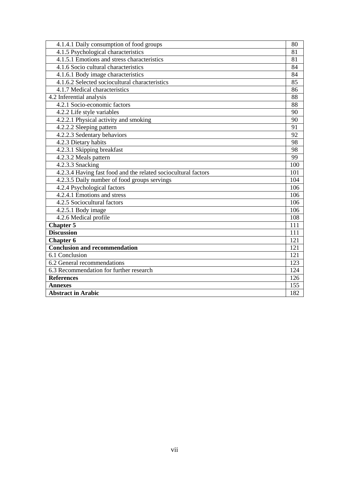| 4.1.4.1 Daily consumption of food groups                       | 80  |
|----------------------------------------------------------------|-----|
| 4.1.5 Psychological characteristics                            | 81  |
| 4.1.5.1 Emotions and stress characteristics                    | 81  |
| 4.1.6 Socio cultural characteristics                           | 84  |
| 4.1.6.1 Body image characteristics                             | 84  |
| 4.1.6.2 Selected sociocultural characteristics                 | 85  |
| 4.1.7 Medical characteristics                                  | 86  |
| 4.2 Inferential analysis                                       | 88  |
| 4.2.1 Socio-economic factors                                   | 88  |
| 4.2.2 Life style variables                                     | 90  |
| 4.2.2.1 Physical activity and smoking                          | 90  |
| 4.2.2.2 Sleeping pattern                                       | 91  |
| 4.2.2.3 Sedentary behaviors                                    | 92  |
| 4.2.3 Dietary habits                                           | 98  |
| 4.2.3.1 Skipping breakfast                                     | 98  |
| 4.2.3.2 Meals pattern                                          | 99  |
| 4.2.3.3 Snacking                                               | 100 |
| 4.2.3.4 Having fast food and the related sociocultural factors | 101 |
| 4.2.3.5 Daily number of food groups servings                   | 104 |
| 4.2.4 Psychological factors                                    | 106 |
| 4.2.4.1 Emotions and stress                                    | 106 |
| 4.2.5 Sociocultural factors                                    | 106 |
| 4.2.5.1 Body image                                             | 106 |
| 4.2.6 Medical profile                                          | 108 |
| Chapter $\overline{5}$                                         | 111 |
| <b>Discussion</b>                                              | 111 |
| <b>Chapter 6</b>                                               | 121 |
| <b>Conclusion and recommendation</b>                           | 121 |
| 6.1 Conclusion                                                 | 121 |
| 6.2 General recommendations                                    | 123 |
| 6.3 Recommendation for further research                        | 124 |
| <b>References</b>                                              | 126 |
| <b>Annexes</b>                                                 | 155 |
| <b>Abstract in Arabic</b>                                      | 182 |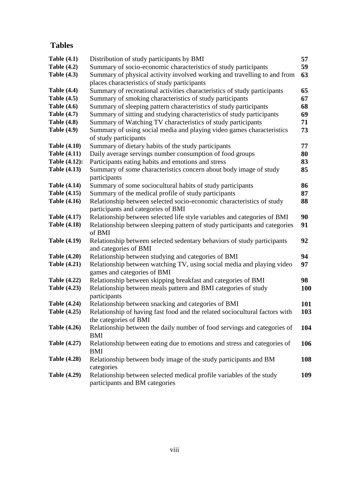### **Tables**

| Table $(4.1)$        | Distribution of study participants by BMI                                                                   | 57         |
|----------------------|-------------------------------------------------------------------------------------------------------------|------------|
| Table $(4.2)$        | Summary of socio-economic characteristics of study participants                                             | 59         |
| <b>Table (4.3)</b>   | Summary of physical activity involved working and travelling to and from                                    | 63         |
|                      | places characteristics of study participants                                                                |            |
| <b>Table (4.4)</b>   | Summary of recreational activities characteristics of study participants                                    | 65         |
| <b>Table (4.5)</b>   | Summary of smoking characteristics of study participants                                                    | 67         |
| <b>Table (4.6)</b>   | Summary of sleeping pattern characteristics of study participants                                           | 68         |
| <b>Table (4.7)</b>   | Summary of sitting and studying characteristics of study participants                                       | 69         |
| <b>Table (4.8)</b>   | Summary of Watching TV characteristics of study participants                                                | 71         |
| <b>Table (4.9)</b>   | Summary of using social media and playing video games characteristics                                       | 73         |
|                      | of study participants                                                                                       |            |
| <b>Table (4.10)</b>  | Summary of dietary habits of the study participants                                                         | 77         |
| <b>Table (4.11)</b>  | Daily average servings number consumption of food groups                                                    | 80         |
| <b>Table (4.12):</b> | Participants eating habits and emotions and stress                                                          | 83         |
| <b>Table (4.13)</b>  | Summary of some characteristics concern about body image of study<br>participants                           | 85         |
| <b>Table (4.14)</b>  | Summary of some sociocultural habits of study participants                                                  | 86         |
| <b>Table (4.15)</b>  | Summary of the medical profile of study participants                                                        | 87         |
| <b>Table (4.16)</b>  | Relationship between selected socio-economic characteristics of study<br>participants and categories of BMI | 88         |
| <b>Table (4.17)</b>  | Relationship between selected life style variables and categories of BMI                                    | 90         |
| <b>Table (4.18)</b>  | Relationship between sleeping pattern of study participants and categories<br>of BMI                        | 91         |
| <b>Table (4.19)</b>  | Relationship between selected sedentary behaviors of study participants<br>and categories of BMI            | 92         |
| <b>Table (4.20)</b>  | Relationship between studying and categories of BMI                                                         | 94         |
| <b>Table (4.21)</b>  | Relationship between watching TV, using social media and playing video                                      | 97         |
|                      | games and categories of BMI                                                                                 |            |
| <b>Table (4.22)</b>  | Relationship between skipping breakfast and categories of BMI                                               | 98         |
| <b>Table (4.23)</b>  | Relationship between meals pattern and BMI categories of study<br>participants                              | <b>100</b> |
| <b>Table (4.24)</b>  | Relationship between snacking and categories of BMI                                                         | 101        |
| <b>Table (4.25)</b>  | Relationship of having fast food and the related sociocultural factors with                                 | 103        |
|                      | the categories of BMI                                                                                       |            |
| <b>Table (4.26)</b>  | Relationship between the daily number of food servings and categories of                                    | 104        |
|                      | <b>BMI</b>                                                                                                  |            |
| <b>Table (4.27)</b>  | Relationship between eating due to emotions and stress and categories of                                    | 106        |
|                      | <b>BMI</b>                                                                                                  |            |
| <b>Table (4.28)</b>  | Relationship between body image of the study participants and BM<br>categories                              | 108        |
| <b>Table (4.29)</b>  | Relationship between selected medical profile variables of the study<br>participants and BM categories      | 109        |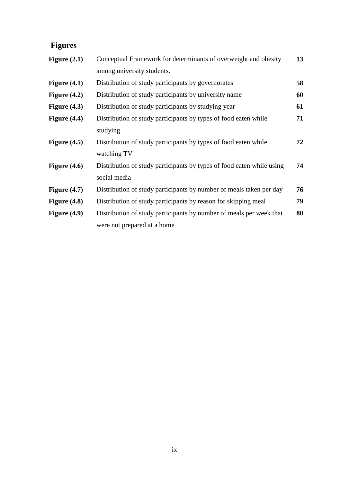## **Figures**

| Figure $(2.1)$ | Conceptual Framework for determinants of overweight and obesity       | 13 |
|----------------|-----------------------------------------------------------------------|----|
|                | among university students.                                            |    |
| Figure $(4.1)$ | Distribution of study participants by governorates                    | 58 |
| Figure $(4.2)$ | Distribution of study participants by university name                 | 60 |
| Figure $(4.3)$ | Distribution of study participants by studying year                   | 61 |
| Figure $(4.4)$ | Distribution of study participants by types of food eaten while       | 71 |
|                | studying                                                              |    |
| Figure $(4.5)$ | Distribution of study participants by types of food eaten while       | 72 |
|                | watching TV                                                           |    |
| Figure $(4.6)$ | Distribution of study participants by types of food eaten while using | 74 |
|                | social media                                                          |    |
| Figure $(4.7)$ | Distribution of study participants by number of meals taken per day   | 76 |
| Figure $(4.8)$ | Distribution of study participants by reason for skipping meal        | 79 |
| Figure $(4.9)$ | Distribution of study participants by number of meals per week that   | 80 |
|                | were not prepared at a home                                           |    |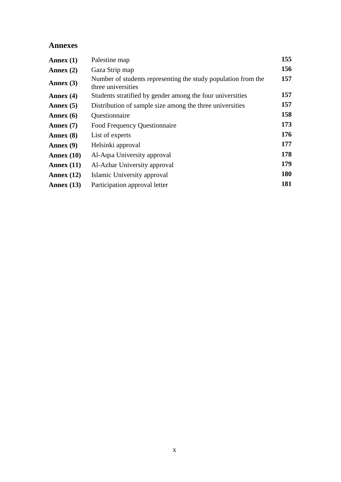#### **Annexes**

| Annex $(1)$  | Palestine map                                                                       | 155        |
|--------------|-------------------------------------------------------------------------------------|------------|
| Annex $(2)$  | Gaza Strip map                                                                      | 156        |
| Annex $(3)$  | Number of students representing the study population from the<br>three universities | 157        |
| Annex $(4)$  | Students stratified by gender among the four universities                           | 157        |
| Annex $(5)$  | Distribution of sample size among the three universities                            | 157        |
| Annex $(6)$  | Questionnaire                                                                       | 158        |
| Annex $(7)$  | Food Frequency Questionnaire                                                        | 173        |
| Annex $(8)$  | List of experts                                                                     | 176        |
| Annex $(9)$  | Helsinki approval                                                                   | 177        |
| Annex $(10)$ | Al-Aqsa University approval                                                         | 178        |
| Annex $(11)$ | Al-Azhar University approval                                                        | 179        |
| Annex $(12)$ | Islamic University approval                                                         | <b>180</b> |
| Annex $(13)$ | Participation approval letter                                                       | 181        |
|              |                                                                                     |            |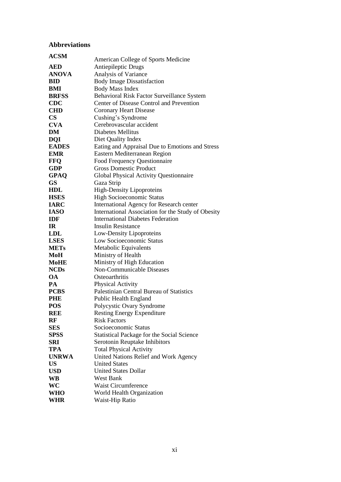#### **Abbreviations**

| <b>ACSM</b>   |                                                    |
|---------------|----------------------------------------------------|
|               | American College of Sports Medicine                |
| <b>AED</b>    | Antiepileptic Drugs                                |
| <b>ANOVA</b>  | Analysis of Variance                               |
| <b>BID</b>    | <b>Body Image Dissatisfaction</b>                  |
| BMI           | <b>Body Mass Index</b>                             |
| <b>BRFSS</b>  | Behavioral Risk Factor Surveillance System         |
| <b>CDC</b>    | Center of Disease Control and Prevention           |
| <b>CHD</b>    | <b>Coronary Heart Disease</b>                      |
| $\mathbf{CS}$ | Cushing's Syndrome                                 |
| <b>CVA</b>    | Cerebrovascular accident                           |
| DM            | Diabetes Mellitus                                  |
| <b>DQI</b>    | Diet Quality Index                                 |
| <b>EADES</b>  | Eating and Appraisal Due to Emotions and Stress    |
| <b>EMR</b>    | Eastern Mediterranean Region                       |
| <b>FFQ</b>    | Food Frequency Questionnaire                       |
| <b>GDP</b>    | <b>Gross Domestic Product</b>                      |
| <b>GPAQ</b>   | Global Physical Activity Questionnaire             |
| <b>GS</b>     | Gaza Strip                                         |
| <b>HDL</b>    | <b>High-Density Lipoproteins</b>                   |
| <b>HSES</b>   | <b>High Socioeconomic Status</b>                   |
| <b>IARC</b>   | International Agency for Research center           |
| <b>IASO</b>   | International Association for the Study of Obesity |
| <b>IDF</b>    | <b>International Diabetes Federation</b>           |
| IR            | <b>Insulin Resistance</b>                          |
| <b>LDL</b>    | Low-Density Lipoproteins                           |
| <b>LSES</b>   | Low Socioeconomic Status                           |
| <b>METs</b>   | Metabolic Equivalents                              |
| MoH           | Ministry of Health                                 |
| <b>MoHE</b>   | Ministry of High Education                         |
| <b>NCDs</b>   | Non-Communicable Diseases                          |
| <b>OA</b>     | Osteoarthritis                                     |
| PA            | <b>Physical Activity</b>                           |
| <b>PCBS</b>   | Palestinian Central Bureau of Statistics           |
| <b>PHE</b>    | Public Health England                              |
| <b>POS</b>    | Polycystic Ovary Syndrome                          |
| <b>REE</b>    | <b>Resting Energy Expenditure</b>                  |
| RF            | <b>Risk Factors</b>                                |
| <b>SES</b>    | Socioeconomic Status                               |
| <b>SPSS</b>   | Statistical Package for the Social Science         |
| SRI           | Serotonin Reuptake Inhibitors                      |
| <b>TPA</b>    |                                                    |
|               | <b>Total Physical Activity</b>                     |
| <b>UNRWA</b>  | United Nations Relief and Work Agency              |
| <b>US</b>     | <b>United States</b>                               |
| <b>USD</b>    | <b>United States Dollar</b>                        |
| <b>WB</b>     | <b>West Bank</b>                                   |
| WC            | <b>Waist Circumference</b>                         |
| <b>WHO</b>    | World Health Organization                          |
| <b>WHR</b>    | Waist-Hip Ratio                                    |